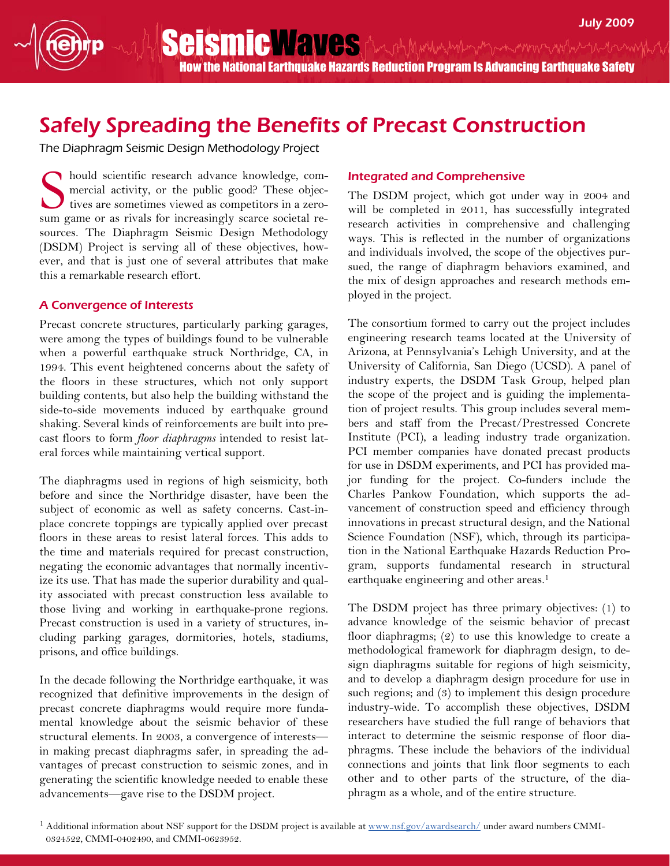SeismicWaves Anghymum men www.wyhoutum How the National Earthquake Hazards Reduction Program Is Advancing Earthquake Safety

## Safely Spreading the Benefits of Precast Construction

The Diaphragm Seismic Design Methodology Project

hould scientific research advance knowledge, commercial activity, or the public good? These objectives are sometimes viewed as competitors in a zerosum game or as rivals for increasingly scarce societal resources. The Diaphragm Seismic Design Methodology (DSDM) Project is serving all of these objectives, however, and that is just one of several attributes that make this a remarkable research effort. S

## A Convergence of Interests

Precast concrete structures, particularly parking garages, were among the types of buildings found to be vulnerable when a powerful earthquake struck Northridge, CA, in 1994. This event heightened concerns about the safety of the floors in these structures, which not only support building contents, but also help the building withstand the side-to-side movements induced by earthquake ground shaking. Several kinds of reinforcements are built into precast floors to form floor diaphragms intended to resist lateral forces while maintaining vertical support.

The diaphragms used in regions of high seismicity, both before and since the Northridge disaster, have been the subject of economic as well as safety concerns. Cast-inplace concrete toppings are typically applied over precast floors in these areas to resist lateral forces. This adds to the time and materials required for precast construction, negating the economic advantages that normally incentivize its use. That has made the superior durability and quality associated with precast construction less available to those living and working in earthquake-prone regions. Precast construction is used in a variety of structures, including parking garages, dormitories, hotels, stadiums, prisons, and office buildings.

In the decade following the Northridge earthquake, it was recognized that definitive improvements in the design of precast concrete diaphragms would require more fundamental knowledge about the seismic behavior of these structural elements. In 2003, a convergence of interests in making precast diaphragms safer, in spreading the advantages of precast construction to seismic zones, and in generating the scientific knowledge needed to enable these advancements—gave rise to the DSDM project.

## Integrated and Comprehensive

The DSDM project, which got under way in 2004 and will be completed in 2011, has successfully integrated research activities in comprehensive and challenging ways. This is reflected in the number of organizations and individuals involved, the scope of the objectives pursued, the range of diaphragm behaviors examined, and the mix of design approaches and research methods employed in the project.

The consortium formed to carry out the project includes engineering research teams located at the University of Arizona, at Pennsylvania's Lehigh University, and at the University of California, San Diego (UCSD). A panel of industry experts, the DSDM Task Group, helped plan the scope of the project and is guiding the implementation of project results. This group includes several members and staff from the Precast/Prestressed Concrete Institute (PCI), a leading industry trade organization. PCI member companies have donated precast products for use in DSDM experiments, and PCI has provided major funding for the project. Co-funders include the Charles Pankow Foundation, which supports the advancement of construction speed and efficiency through innovations in precast structural design, and the National Science Foundation (NSF), which, through its participation in the National Earthquake Hazards Reduction Program, supports fundamental research in structural earthquake engineering and other areas.<sup>1</sup>

The DSDM project has three primary objectives: (1) to advance knowledge of the seismic behavior of precast floor diaphragms; (2) to use this knowledge to create a methodological framework for diaphragm design, to design diaphragms suitable for regions of high seismicity, and to develop a diaphragm design procedure for use in such regions; and (3) to implement this design procedure industry-wide. To accomplish these objectives, DSDM researchers have studied the full range of behaviors that interact to determine the seismic response of floor diaphragms. These include the behaviors of the individual connections and joints that link floor segments to each other and to other parts of the structure, of the diaphragm as a whole, and of the entire structure.

<sup>1</sup> Additional information about NSF support for the DSDM project is available at www.nsf.gov/awardsearch/ under award numbers CMMI-0324522, CMMI-0402490, and CMMI-0623952.